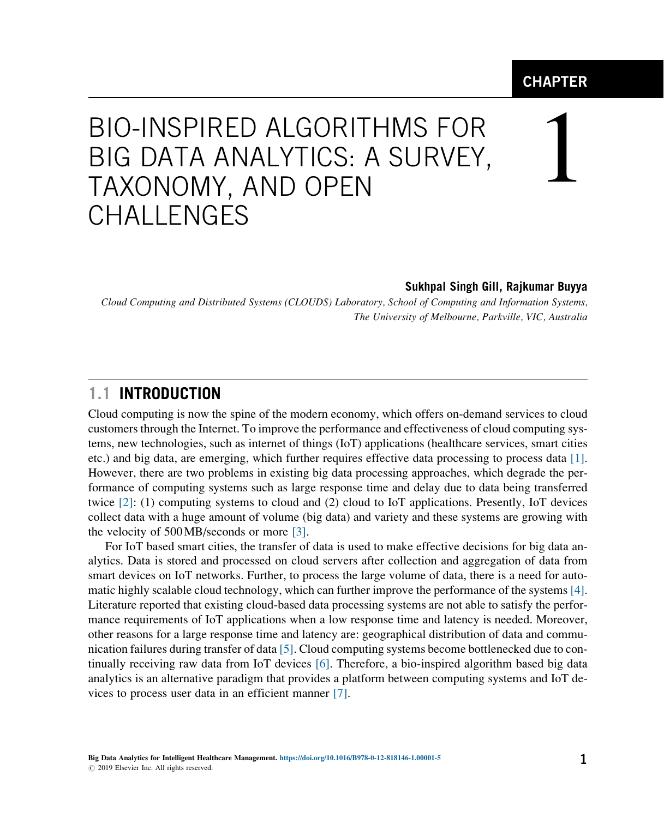1

# BIO-INSPIRED ALGORITHMS FOR BIG DATA ANALYTICS: A SURVEY, TAXONOMY, AND OPEN CHALLENGES

Cloud Computing and Distributed Systems (CLOUDS) Laboratory, School of Computing and Information Systems, The University of Melbourne, Parkville, VIC, Australia

### **1.1 INTRODUCTION**

1.1 Intercence is a controlled to the modern economy, which offers on-demand services to cloud<br>Cloud computing is now the spine of the modern economy, which offers on-demand services to cloud customers through the Internet. To improve the performance and effectiveness of cloud computing systems, new technologies, such as internet of things (IoT) applications (healthcare services, smart cities etc.) and big data, are emerging, which further requires effective data processing to process data [\[1\].](#page-15-0) However, there are two problems in existing big data processing approaches, which degrade the performance of computing systems such as large response time and delay due to data being transferred twice [\[2\]](#page-15-0): (1) computing systems to cloud and (2) cloud to IoT applications. Presently, IoT devices collect data with a huge amount of volume (big data) and variety and these systems are growing with the velocity of 500MB/seconds or more [\[3\]](#page-15-0).

For IoT based smart cities, the transfer of data is used to make effective decisions for big data analytics. Data is stored and processed on cloud servers after collection and aggregation of data from smart devices on IoT networks. Further, to process the large volume of data, there is a need for automatic highly scalable cloud technology, which can further improve the performance of the systems [\[4\].](#page-15-0) Literature reported that existing cloud-based data processing systems are not able to satisfy the performance requirements of IoT applications when a low response time and latency is needed. Moreover, other reasons for a large response time and latency are: geographical distribution of data and communication failures during transfer of data [\[5\]](#page-15-0). Cloud computing systems become bottlenecked due to continually receiving raw data from IoT devices [\[6\]](#page-15-0). Therefore, a bio-inspired algorithm based big data analytics is an alternative paradigm that provides a platform between computing systems and IoT devices to process user data in an efficient manner [\[7\].](#page-15-0)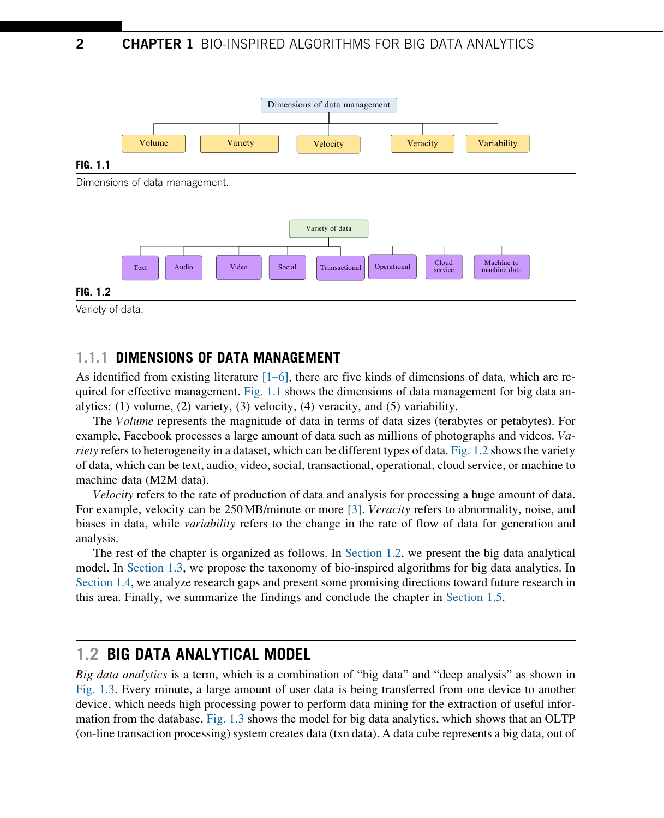

### DIMENSIONS OF DATA MANAGEMENT  $1.1.1$

As identified from existing literature  $[1-6]$ , there are five kinds of dimensions of data, which are required for effective management. Fig. 1.1 shows the dimensions of data management for big data analytics: (1) volume, (2) variety, (3) velocity, (4) veracity, and (5) variability.

The Volume represents the magnitude of data in terms of data sizes (terabytes or petabytes). For example, Facebook processes a large amount of data such as millions of photographs and videos. Variety refers to heterogeneity in a dataset, which can be different types of data. Fig. 1.2 shows the variety of data, which can be text, audio, video, social, transactional, operational, cloud service, or machine to machine data (M2M data).

Velocity refers to the rate of production of data and analysis for processing a huge amount of data. For example, velocity can be 250MB/minute or more [\[3\]](#page-15-0). *Veracity* refers to abnormality, noise, and biases in data, while *variability* refers to the change in the rate of flow of data for generation and analysis.

The rest of the chapter is organized as follows. In Section 1.2, we present the big data analytical model. In [Section 1.3,](#page-3-0) we propose the taxonomy of bio-inspired algorithms for big data analytics. In [Section 1.4](#page-9-0), we analyze research gaps and present some promising directions toward future research in this area. Finally, we summarize the findings and conclude the chapter in [Section 1.5.](#page-13-0)

## 1.2 BIG DATA ANALYTICAL MODEL

Big data analytics is a term, which is a combination of "big data" and "deep analysis" as shown in [Fig. 1.3](#page-2-0). Every minute, a large amount of user data is being transferred from one device to another device, which needs high processing power to perform data mining for the extraction of useful information from the database. [Fig. 1.3](#page-2-0) shows the model for big data analytics, which shows that an OLTP (on-line transaction processing) system creates data (txn data). A data cube represents a big data, out of

<span id="page-1-0"></span>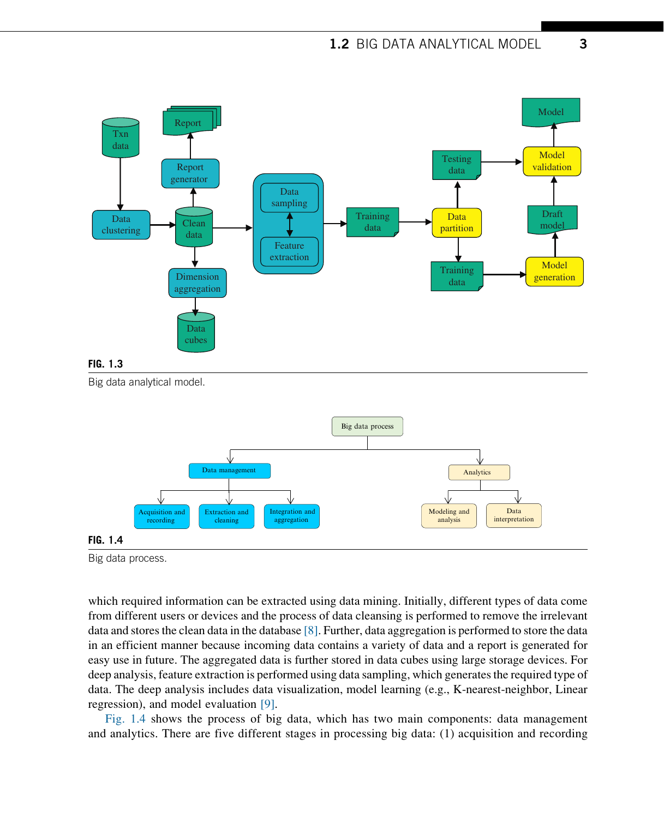<span id="page-2-0"></span>

man era<br>Big data analytical model.



which required information can be extracted using data mining. Initially, different types of data come from different users or devices and the process of data cleansing is performed to remove the irrelevant data and stores the clean data in the database [\[8\].](#page-15-0) Further, data aggregation is performed to store the data in an efficient manner because incoming data contains a variety of data and a report is generated for easy use in future. The aggregated data is further stored in data cubes using large storage devices. For deep analysis, feature extraction is performed using data sampling, which generates the required type of data. The deep analysis includes data visualization, model learning (e.g., K-nearest-neighbor, Linear regression), and model evaluation [\[9\].](#page-15-0)

Fig. 1.4 shows the process of big data, which has two main components: data management and analytics. There are five different stages in processing big data: (1) acquisition and recording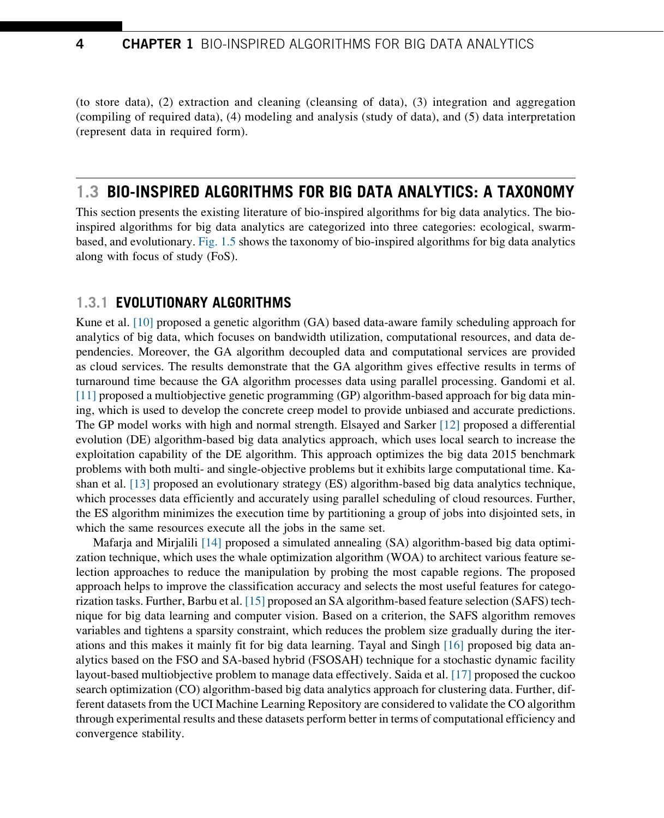(to store data), (2) extraction and cleaning (cleansing of data), (3) integration and aggregation (compiling of required data), (4) modeling and analysis (study of data), and (5) data interpretation (represent data in required form).

### 1.3 BIO-INSPIRED ALGORITHMS FOR BIG DATA ANALYTICS: A TAXONOMY

This section presents the existing literature of bio-inspired algorithms for big data analytics. The bioinspired algorithms for big data analytics are categorized into three categories: ecological, swarmbased, and evolutionary. [Fig. 1.5](#page-4-0) shows the taxonomy of bio-inspired algorithms for big data analytics along with focus of study (FoS).

### 1.3.1 EVOLUTIONARY ALGORITHMS

EVOLUTION COLUTION CONTROLLER CONTROLLER THE COLUMN CORPORT OF STATE STATE STATE STATE STATE STATE STATE STATE STATE STATE STATE STATE STATE STATE STATE STATE STATE STATE STATE STATE STATE STATE STATE STATE STATE STATE STA analytics of big data, which focuses on bandwidth utilization, computational resources, and data dependencies. Moreover, the GA algorithm decoupled data and computational services are provided as cloud services. The results demonstrate that the GA algorithm gives effective results in terms of turnaround time because the GA algorithm processes data using parallel processing. Gandomi et al. [\[11\]](#page-15-0) proposed a multiobjective genetic programming (GP) algorithm-based approach for big data mining, which is used to develop the concrete creep model to provide unbiased and accurate predictions. The GP model works with high and normal strength. Elsayed and Sarker [\[12\]](#page-15-0) proposed a differential evolution (DE) algorithm-based big data analytics approach, which uses local search to increase the exploitation capability of the DE algorithm. This approach optimizes the big data 2015 benchmark problems with both multi- and single-objective problems but it exhibits large computational time. Kashan et al. [\[13\]](#page-15-0) proposed an evolutionary strategy (ES) algorithm-based big data analytics technique, which processes data efficiently and accurately using parallel scheduling of cloud resources. Further, the ES algorithm minimizes the execution time by partitioning a group of jobs into disjointed sets, in which the same resources execute all the jobs in the same set.

Mafarja and Mirjalili [\[14\]](#page-15-0) proposed a simulated annealing (SA) algorithm-based big data optimization technique, which uses the whale optimization algorithm (WOA) to architect various feature selection approaches to reduce the manipulation by probing the most capable regions. The proposed approach helps to improve the classification accuracy and selects the most useful features for categorization tasks. Further, Barbu et al. [\[15\]](#page-15-0) proposed an SA algorithm-based feature selection (SAFS) technique for big data learning and computer vision. Based on a criterion, the SAFS algorithm removes variables and tightens a sparsity constraint, which reduces the problem size gradually during the iterations and this makes it mainly fit for big data learning. Tayal and Singh [\[16\]](#page-15-0) proposed big data analytics based on the FSO and SA-based hybrid (FSOSAH) technique for a stochastic dynamic facility layout-based multiobjective problem to manage data effectively. Saida et al. [\[17\]](#page-15-0) proposed the cuckoo search optimization (CO) algorithm-based big data analytics approach for clustering data. Further, different datasets from the UCI Machine Learning Repository are considered to validate the CO algorithm through experimental results and these datasets perform better in terms of computational efficiency and convergence stability.

<span id="page-3-0"></span>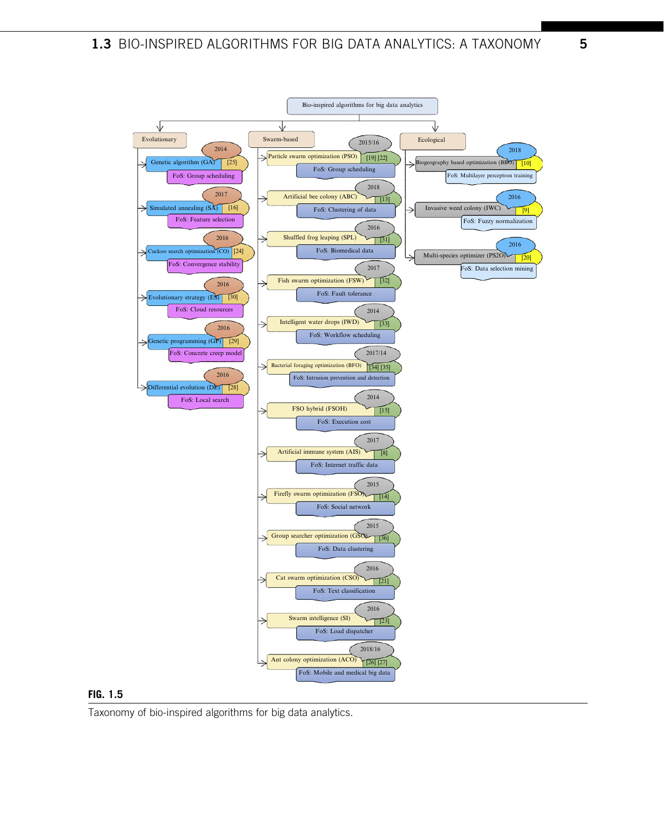<span id="page-4-0"></span>

### **FIG. 1.5**

Taxonomy of bio-inspired algorithms for big data analytics.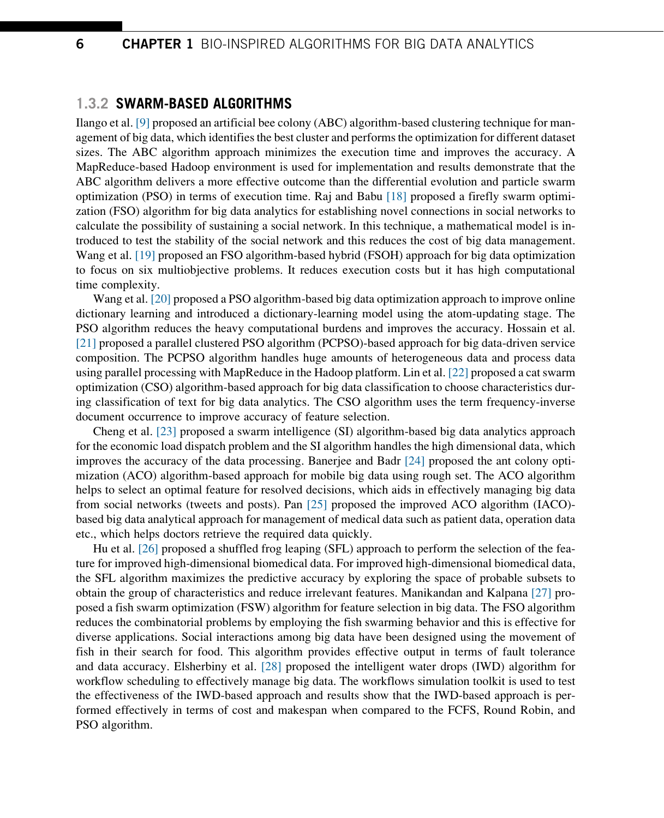1.3.2 SUARM-BASED ALGORITHMS<br>Ilango et al. [\[9\]](#page-15-0) proposed an artificial bee colony (ABC) algorithm-based clustering technique for management of big data, which identifies the best cluster and performs the optimization for different dataset sizes. The ABC algorithm approach minimizes the execution time and improves the accuracy. A MapReduce-based Hadoop environment is used for implementation and results demonstrate that the ABC algorithm delivers a more effective outcome than the differential evolution and particle swarm optimization (PSO) in terms of execution time. Raj and Babu [\[18\]](#page-15-0) proposed a firefly swarm optimization (FSO) algorithm for big data analytics for establishing novel connections in social networks to calculate the possibility of sustaining a social network. In this technique, a mathematical model is introduced to test the stability of the social network and this reduces the cost of big data management. Wang et al. [\[19\]](#page-15-0) proposed an FSO algorithm-based hybrid (FSOH) approach for big data optimization to focus on six multiobjective problems. It reduces execution costs but it has high computational time complexity.

Wang et al. [\[20\]](#page-15-0) proposed a PSO algorithm-based big data optimization approach to improve online dictionary learning and introduced a dictionary-learning model using the atom-updating stage. The PSO algorithm reduces the heavy computational burdens and improves the accuracy. Hossain et al. [\[21\]](#page-16-0) proposed a parallel clustered PSO algorithm (PCPSO)-based approach for big data-driven service composition. The PCPSO algorithm handles huge amounts of heterogeneous data and process data using parallel processing with MapReduce in the Hadoop platform. Lin et al. [\[22\]](#page-16-0) proposed a cat swarm optimization (CSO) algorithm-based approach for big data classification to choose characteristics during classification of text for big data analytics. The CSO algorithm uses the term frequency-inverse document occurrence to improve accuracy of feature selection.

Cheng et al. [\[23\]](#page-16-0) proposed a swarm intelligence (SI) algorithm-based big data analytics approach for the economic load dispatch problem and the SI algorithm handles the high dimensional data, which improves the accuracy of the data processing. Banerjee and Badr [\[24\]](#page-16-0) proposed the ant colony optimization (ACO) algorithm-based approach for mobile big data using rough set. The ACO algorithm helps to select an optimal feature for resolved decisions, which aids in effectively managing big data from social networks (tweets and posts). Pan [\[25\]](#page-16-0) proposed the improved ACO algorithm (IACO) based big data analytical approach for management of medical data such as patient data, operation data etc., which helps doctors retrieve the required data quickly.

Hu et al. [\[26\]](#page-16-0) proposed a shuffled frog leaping (SFL) approach to perform the selection of the feature for improved high-dimensional biomedical data. For improved high-dimensional biomedical data, the SFL algorithm maximizes the predictive accuracy by exploring the space of probable subsets to obtain the group of characteristics and reduce irrelevant features. Manikandan and Kalpana [\[27\]](#page-16-0) proposed a fish swarm optimization (FSW) algorithm for feature selection in big data. The FSO algorithm reduces the combinatorial problems by employing the fish swarming behavior and this is effective for diverse applications. Social interactions among big data have been designed using the movement of fish in their search for food. This algorithm provides effective output in terms of fault tolerance and data accuracy. Elsherbiny et al. [\[28\]](#page-16-0) proposed the intelligent water drops (IWD) algorithm for workflow scheduling to effectively manage big data. The workflows simulation toolkit is used to test the effectiveness of the IWD-based approach and results show that the IWD-based approach is performed effectively in terms of cost and makespan when compared to the FCFS, Round Robin, and PSO algorithm.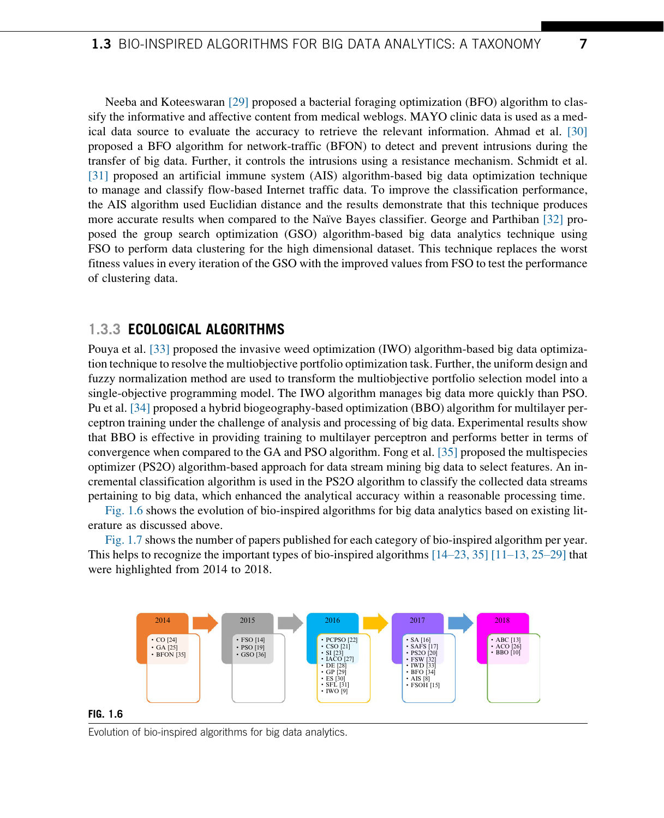Neeba and Koteeswaran [\[29\]](#page-16-0) proposed a bacterial foraging optimization (BFO) algorithm to classify the informative and affective content from medical weblogs. MAYO clinic data is used as a medical data source to evaluate the accuracy to retrieve the relevant information. Ahmad et al. [\[30\]](#page-16-0) proposed a BFO algorithm for network-traffic (BFON) to detect and prevent intrusions during the transfer of big data. Further, it controls the intrusions using a resistance mechanism. Schmidt et al. [\[31\]](#page-16-0) proposed an artificial immune system (AIS) algorithm-based big data optimization technique to manage and classify flow-based Internet traffic data. To improve the classification performance, the AIS algorithm used Euclidian distance and the results demonstrate that this technique produces more accurate results when compared to the Naïve Bayes classifier. George and Parthiban [\[32\]](#page-16-0) proposed the group search optimization (GSO) algorithm-based big data analytics technique using FSO to perform data clustering for the high dimensional dataset. This technique replaces the worst fitness values in every iteration of the GSO with the improved values from FSO to test the performance of clustering data.

### **1.3.3 ECOLOGICAL ALGORITHMS**

Pouya et al. [\[33\]](#page-16-0) proposed the invasive weed optimization (IWO) algorithm-based big data optimization technique to resolve the multiobjective portfolio optimization task. Further, the uniform design and fuzzy normalization method are used to transform the multiobjective portfolio selection model into a single-objective programming model. The IWO algorithm manages big data more quickly than PSO. Pu et al. [\[34\]](#page-16-0) proposed a hybrid biogeography-based optimization (BBO) algorithm for multilayer perceptron training under the challenge of analysis and processing of big data. Experimental results show that BBO is effective in providing training to multilayer perceptron and performs better in terms of convergence when compared to the GA and PSO algorithm. Fong et al. [\[35\]](#page-16-0) proposed the multispecies optimizer (PS2O) algorithm-based approach for data stream mining big data to select features. An incremental classification algorithm is used in the PS2O algorithm to classify the collected data streams pertaining to big data, which enhanced the analytical accuracy within a reasonable processing time.

Fig. 1.6 shows the evolution of bio-inspired algorithms for big data analytics based on existing literature as discussed above.

[Fig. 1.7](#page-7-0) shows the number of papers published for each category of bio-inspired algorithm per year. This helps to recognize the important types of bio-inspired algorithms [14–[23, 35\]](#page-15-0) [11–[13, 25](#page-15-0)–29] that were highlighted from 2014 to 2018.



### **FIG. 1.6** FIG. 1.6

Evolution of bio-inspired algorithms for big data analytics.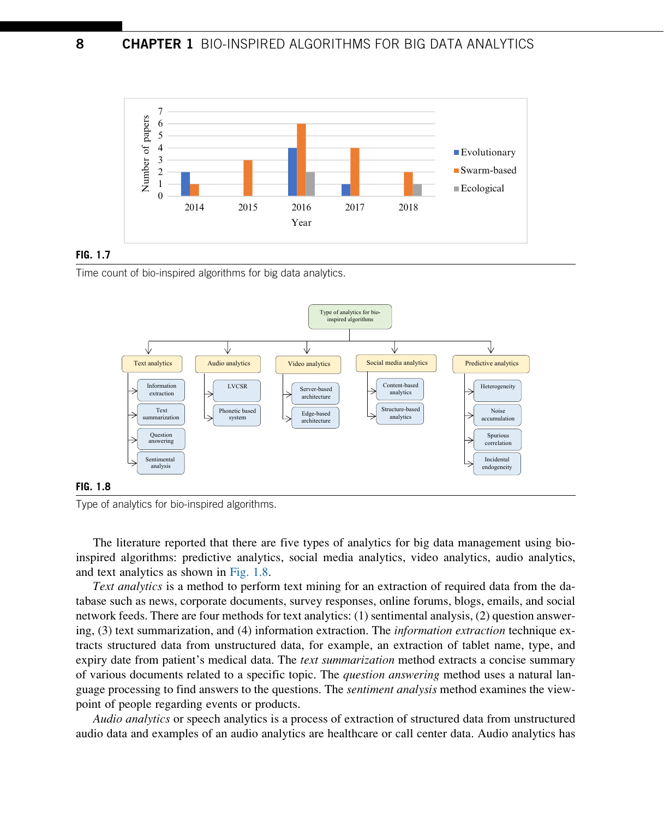<span id="page-7-0"></span>

### **FIG. 1.7**

<u>——</u><br>Time count of bio-inspired algorithms for big data analytics.



### **FIG. 1.8**

<u>...........</u><br>Type of analytics for bio-inspired algorithms.

The literature reported that there are five types of analytics for big data management using bioinspired algorithms: predictive analytics, social media analytics, video analytics, audio analytics, and text analytics as shown in Fig. 1.8.

Text analytics is a method to perform text mining for an extraction of required data from the database such as news, corporate documents, survey responses, online forums, blogs, emails, and social network feeds. There are four methods for text analytics: (1) sentimental analysis, (2) question answering, (3) text summarization, and (4) information extraction. The *information extraction* technique extracts structured data from unstructured data, for example, an extraction of tablet name, type, and expiry date from patient's medical data. The *text summarization* method extracts a concise summary of various documents related to a specific topic. The *question answering* method uses a natural language processing to find answers to the questions. The sentiment analysis method examines the viewpoint of people regarding events or products.

Audio analytics or speech analytics is a process of extraction of structured data from unstructured audio data and examples of an audio analytics are healthcare or call center data. Audio analytics has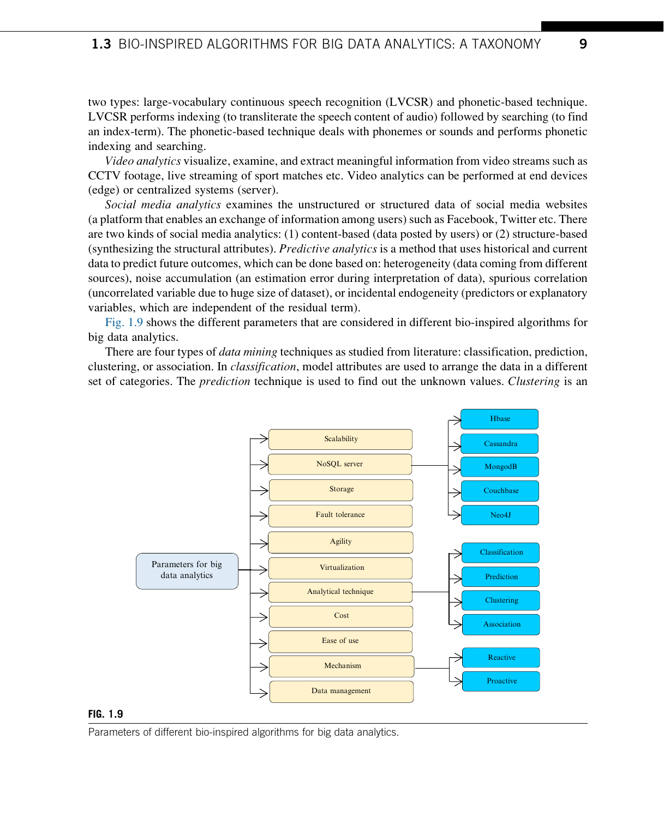two types: large-vocabulary continuous speech recognition (LVCSR) and phonetic-based technique. LVCSR performs indexing (to transliterate the speech content of audio) followed by searching (to find an index-term). The phonetic-based technique deals with phonemes or sounds and performs phonetic indexing and searching.

Video analytics visualize, examine, and extract meaningful information from video streams such as CCTV footage, live streaming of sport matches etc. Video analytics can be performed at end devices (edge) or centralized systems (server).

Social media analytics examines the unstructured or structured data of social media websites (a platform that enables an exchange of information among users) such as Facebook, Twitter etc. There are two kinds of social media analytics: (1) content-based (data posted by users) or (2) structure-based (synthesizing the structural attributes). Predictive analytics is a method that uses historical and current data to predict future outcomes, which can be done based on: heterogeneity (data coming from different sources), noise accumulation (an estimation error during interpretation of data), spurious correlation (uncorrelated variable due to huge size of dataset), or incidental endogeneity (predictors or explanatory variables, which are independent of the residual term).

Fig. 1.9 shows the different parameters that are considered in different bio-inspired algorithms for big data analytics.

There are four types of *data mining* techniques as studied from literature: classification, prediction, clustering, or association. In classification, model attributes are used to arrange the data in a different set of categories. The *prediction* technique is used to find out the unknown values. Clustering is an



### **FIG. 1.9**

FIG. 1.9 Parameters of different bio-inspired algorithms for big data analytics.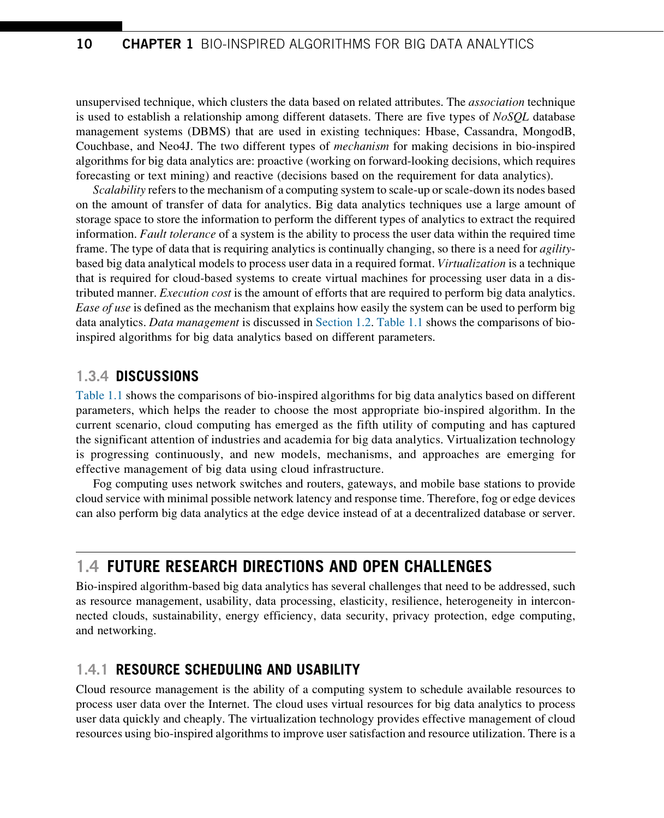### <span id="page-9-0"></span>10 CHAPTER 1 BIO-INSPIRED ALGORITHMS FOR BIG DATA ANALYTICS

unsupervised technique, which clusters the data based on related attributes. The association technique is used to establish a relationship among different datasets. There are five types of NoSQL database management systems (DBMS) that are used in existing techniques: Hbase, Cassandra, MongodB, Couchbase, and Neo4J. The two different types of mechanism for making decisions in bio-inspired algorithms for big data analytics are: proactive (working on forward-looking decisions, which requires forecasting or text mining) and reactive (decisions based on the requirement for data analytics).

Scalability refers to the mechanism of a computing system to scale-up or scale-down its nodes based on the amount of transfer of data for analytics. Big data analytics techniques use a large amount of storage space to store the information to perform the different types of analytics to extract the required information. Fault tolerance of a system is the ability to process the user data within the required time frame. The type of data that is requiring analytics is continually changing, so there is a need for *agility*based big data analytical models to process user data in a required format. Virtualization is a technique that is required for cloud-based systems to create virtual machines for processing user data in a distributed manner. *Execution cost* is the amount of efforts that are required to perform big data analytics. Ease of use is defined as the mechanism that explains how easily the system can be used to perform big data analytics. Data management is discussed in [Section 1.2.](#page-1-0) [Table 1.1](#page-10-0) shows the comparisons of bioinspired algorithms for big data analytics based on different parameters.

### 1.3.4 DISCUSSIONS

[Table 1.1](#page-10-0) shows the comparisons of bio-inspired algorithms for big data analytics based on different parameters, which helps the reader to choose the most appropriate bio-inspired algorithm. In the current scenario, cloud computing has emerged as the fifth utility of computing and has captured the significant attention of industries and academia for big data analytics. Virtualization technology is progressing continuously, and new models, mechanisms, and approaches are emerging for effective management of big data using cloud infrastructure.

Fog computing uses network switches and routers, gateways, and mobile base stations to provide cloud service with minimal possible network latency and response time. Therefore, fog or edge devices can also perform big data analytics at the edge device instead of at a decentralized database or server.

## 1.4 FUTURE RESEARCH DIRECTIONS AND OPEN CHALLENGES

Bio-inspired algorithm-based big data analytics has several challenges that need to be addressed, such as resource management, usability, data processing, elasticity, resilience, heterogeneity in interconnected clouds, sustainability, energy efficiency, data security, privacy protection, edge computing, and networking.

### 1.4.1 RESOURCE SCHEDULING AND USABILITY

**Cloud resource management is the ability of a computing system to schedule available resources to** process user data over the Internet. The cloud uses virtual resources for big data analytics to process user data quickly and cheaply. The virtualization technology provides effective management of cloud resources using bio-inspired algorithms to improve user satisfaction and resource utilization. There is a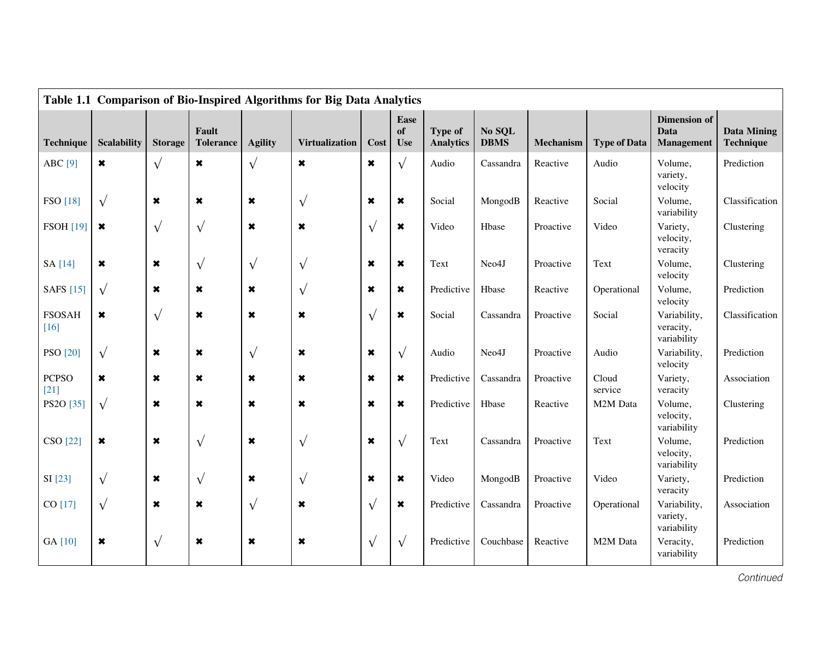<span id="page-10-0"></span>

| Table 1.1 Comparison of Bio-Inspired Algorithms for Big Data Analytics |                           |                     |                           |                |                       |                |                                 |                             |                       |                  |                     |                                                  |                                        |
|------------------------------------------------------------------------|---------------------------|---------------------|---------------------------|----------------|-----------------------|----------------|---------------------------------|-----------------------------|-----------------------|------------------|---------------------|--------------------------------------------------|----------------------------------------|
| <b>Technique</b>                                                       | <b>Scalability</b>        | <b>Storage</b>      | Fault<br><b>Tolerance</b> | <b>Agility</b> | <b>Virtualization</b> | Cost           | <b>Ease</b><br>of<br><b>Use</b> | Type of<br><b>Analytics</b> | No SOL<br><b>DBMS</b> | <b>Mechanism</b> | <b>Type of Data</b> | <b>Dimension of</b><br><b>Data</b><br>Management | <b>Data Mining</b><br><b>Technique</b> |
| ABC [9]                                                                | $\pmb{\times}$            | $\sqrt{ }$          | $\pmb{\times}$            | $\sqrt{ }$     | $\pmb{\times}$        | ×              | $\sqrt{ }$                      | Audio                       | Cassandra             | Reactive         | Audio               | Volume,<br>variety,<br>velocity                  | Prediction                             |
| FSO [18]                                                               | $\sqrt{ }$                | ×                   | ×                         | ×              | $\sqrt{ }$            | ×              | $\pmb{\times}$                  | Social                      | MongodB               | Reactive         | Social              | Volume,<br>variability                           | Classification                         |
| <b>FSOH</b> [19]                                                       | $\boldsymbol{\mathsf{x}}$ | $\sqrt{ }$          | $\sqrt{ }$                | ×              | $\pmb{\times}$        | $\sqrt{ }$     | $\star$                         | Video                       | Hbase                 | Proactive        | Video               | Variety,<br>velocity,<br>veracity                | Clustering                             |
| SA [14]                                                                | ×                         | ×                   | $\sqrt{ }$                | $\sqrt{ }$     | $\sqrt{ }$            | ×              | $\pmb{\times}$                  | Text                        | Neo4J                 | Proactive        | Text                | Volume,<br>velocity                              | Clustering                             |
| <b>SAFS</b> [15]                                                       | $\sqrt{ }$                | ×                   | ×                         | $\pmb{\times}$ | $\sqrt{ }$            | ×              | $\pmb{\times}$                  | Predictive                  | Hbase                 | Reactive         | Operational         | Volume,<br>velocity                              | Prediction                             |
| <b>FSOSAH</b><br>$[16]$                                                | ×                         | $\sqrt{ }$          | ×                         | $\pmb{\times}$ | $\pmb{\times}$        | $\sqrt{ }$     | $\pmb{\times}$                  | Social                      | Cassandra             | Proactive        | Social              | Variability,<br>veracity,<br>variability         | Classification                         |
| <b>PSO</b> [20]                                                        | $\sqrt{ }$                | $\pmb{\times}$      | ×                         | $\sqrt{ }$     | ×                     | ×              | $\sqrt{ }$                      | Audio                       | Neo4J                 | Proactive        | Audio               | Variability,<br>velocity                         | Prediction                             |
| <b>PCPSO</b><br>$[21]$                                                 | ×                         | $\pmb{\times}$      | ×                         | $\pmb{\times}$ | ×                     | ×              | $\star$                         | Predictive                  | Cassandra             | Proactive        | Cloud<br>service    | Variety,<br>veracity                             | Association                            |
| PS2O [35]                                                              | $\sqrt{ }$                | $\boldsymbol{\ast}$ | $\pmb{\times}$            | $\pmb{\times}$ | ×                     | $\pmb{\times}$ | $\star$                         | Predictive                  | Hbase                 | Reactive         | M2M Data            | Volume.<br>velocity,<br>variability              | Clustering                             |
| CSO [22]                                                               | ×                         | $\pmb{\times}$      | $\sqrt{ }$                | ×              | $\sqrt{ }$            | ×              | $\sqrt{ }$                      | Text                        | Cassandra             | Proactive        | Text                | Volume,<br>velocity,<br>variability              | Prediction                             |
| SI [23]                                                                | $\sqrt{ }$                | ×                   | $\sqrt{ }$                | $\pmb{\times}$ | $\sqrt{ }$            | $\star$        | $\pmb{\times}$                  | Video                       | MongodB               | Proactive        | Video               | Variety,<br>veracity                             | Prediction                             |
| $CO$ [17]                                                              | $\sqrt{ }$                | $\pmb{\times}$      | ×                         | $\sqrt{ }$     | $\pmb{\times}$        | $\sqrt{ }$     | $\pmb{\times}$                  | Predictive                  | Cassandra             | Proactive        | Operational         | Variability,<br>variety,<br>variability          | Association                            |
| GA [10]                                                                | ×                         | $\sqrt{ }$          | ×                         | ×              | ×                     | $\sqrt{ }$     | $\sqrt{ }$                      | Predictive                  | Couchbase             | Reactive         | M2M Data            | Veracity,<br>variability                         | Prediction                             |

Continued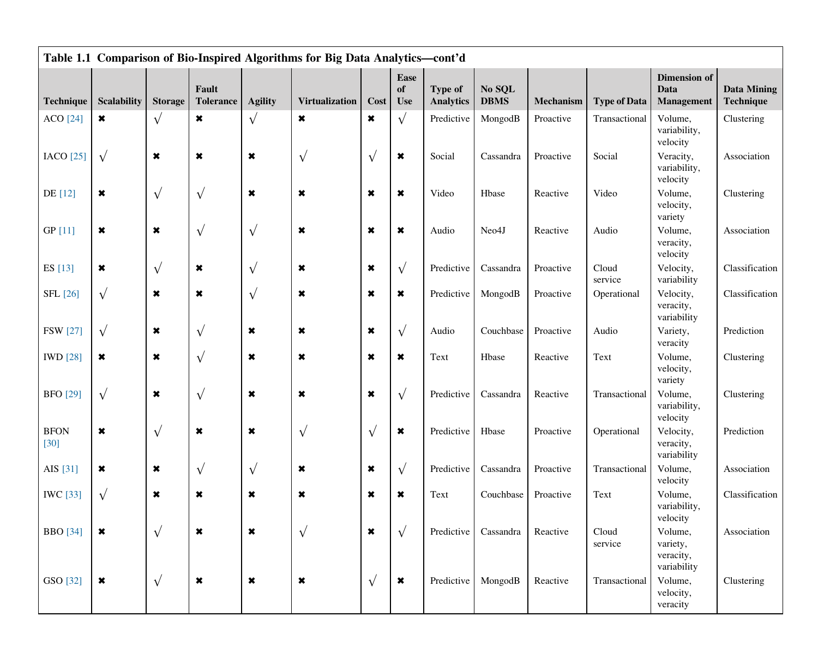| Table 1.1 Comparison of Bio-Inspired Algorithms for Big Data Analytics—cont'd |                    |                     |                           |                     |                       |                |                                 |                             |                       |           |                     |                                                         |                                        |
|-------------------------------------------------------------------------------|--------------------|---------------------|---------------------------|---------------------|-----------------------|----------------|---------------------------------|-----------------------------|-----------------------|-----------|---------------------|---------------------------------------------------------|----------------------------------------|
| <b>Technique</b>                                                              | <b>Scalability</b> | <b>Storage</b>      | Fault<br><b>Tolerance</b> | <b>Agility</b>      | <b>Virtualization</b> | Cost           | <b>Ease</b><br>of<br><b>Use</b> | Type of<br><b>Analytics</b> | No SQL<br><b>DBMS</b> | Mechanism | <b>Type of Data</b> | <b>Dimension of</b><br><b>Data</b><br><b>Management</b> | <b>Data Mining</b><br><b>Technique</b> |
| ACO <sup>[24]</sup>                                                           | $\pmb{\times}$     | $\sqrt{}$           | $\pmb{\times}$            | $\sqrt{}$           | $\pmb{\times}$        | $\pmb{\times}$ | $\sqrt{}$                       | Predictive                  | MongodB               | Proactive | Transactional       | Volume,<br>variability,<br>velocity                     | Clustering                             |
| IACO [25]                                                                     | $\sqrt{}$          | $\pmb{\times}$      | ×                         | $\boldsymbol{\ast}$ | $\sqrt{ }$            | $\sqrt{}$      | $\pmb{\times}$                  | Social                      | Cassandra             | Proactive | Social              | Veracity,<br>variability,<br>velocity                   | Association                            |
| <b>DE</b> [12]                                                                | $\pmb{\times}$     | $\sqrt{ }$          | $\sqrt{}$                 | $\pmb{\times}$      | $\pmb{\times}$        | $\pmb{\times}$ | $\pmb{\times}$                  | Video                       | Hbase                 | Reactive  | Video               | Volume,<br>velocity,<br>variety                         | Clustering                             |
| GP [11]                                                                       | $\pmb{\times}$     | $\boldsymbol{\ast}$ | $\sqrt{}$                 | $\sqrt{}$           | $\pmb{\times}$        | $\pmb{\times}$ | $\pmb{\times}$                  | Audio                       | Neo4J                 | Reactive  | Audio               | Volume,<br>veracity,<br>velocity                        | Association                            |
| ES [13]                                                                       | $\pmb{\times}$     | $\sqrt{ }$          | ×                         | $\sqrt{}$           | $\pmb{\times}$        | $\pmb{\times}$ | $\sqrt{}$                       | Predictive                  | Cassandra             | Proactive | Cloud<br>service    | Velocity,<br>variability                                | Classification                         |
| <b>SFL</b> [26]                                                               | $\sqrt{}$          | ×                   | ×                         | $\sqrt{}$           | $\pmb{\times}$        | $\pmb{\times}$ | ×                               | Predictive                  | MongodB               | Proactive | Operational         | Velocity,<br>veracity,<br>variability                   | Classification                         |
| <b>FSW [27]</b>                                                               | $\sqrt{}$          | $\pmb{\times}$      | $\sqrt{}$                 | $\pmb{\times}$      | $\pmb{\times}$        | $\pmb{\times}$ | $\sqrt{}$                       | Audio                       | Couchbase             | Proactive | Audio               | Variety,<br>veracity                                    | Prediction                             |
| <b>IWD</b> [28]                                                               | $\pmb{\times}$     | $\pmb{\times}$      | $\sqrt{}$                 | $\pmb{\times}$      | $\pmb{\times}$        | $\pmb{\times}$ | $\pmb{\times}$                  | Text                        | Hbase                 | Reactive  | Text                | Volume,<br>velocity,<br>variety                         | Clustering                             |
| <b>BFO</b> [29]                                                               | $\sqrt{}$          | $\pmb{\times}$      | $\sqrt{}$                 | $\pmb{\times}$      | $\pmb{\times}$        | $\pmb{\times}$ | $\sqrt{}$                       | Predictive                  | Cassandra             | Reactive  | Transactional       | Volume,<br>variability,<br>velocity                     | Clustering                             |
| <b>BFON</b><br>$[30]$                                                         | $\pmb{\times}$     | $\sqrt{ }$          | $\pmb{\times}$            | ×                   | $\sqrt{}$             | $\sqrt{}$      | $\pmb{\times}$                  | Predictive                  | Hbase                 | Proactive | Operational         | Velocity,<br>veracity,<br>variability                   | Prediction                             |
| AIS [31]                                                                      | $\pmb{\times}$     | $\pmb{\times}$      | $\sqrt{}$                 | $\sqrt{}$           | $\pmb{\times}$        | $\pmb{\times}$ | $\sqrt{}$                       | Predictive                  | Cassandra             | Proactive | Transactional       | Volume,<br>velocity                                     | Association                            |
| <b>IWC</b> [33]                                                               | $\sqrt{}$          | $\pmb{\times}$      | ×                         | ×                   | $\pmb{\times}$        | $\pmb{\times}$ | $\pmb{\times}$                  | Text                        | Couchbase             | Proactive | Text                | Volume,<br>variability,<br>velocity                     | Classification                         |
| <b>BBO</b> [34]                                                               | $\pmb{\times}$     | $\sqrt{ }$          | $\pmb{\times}$            | $\pmb{\times}$      | $\sqrt{}$             | $\pmb{\times}$ | $\sqrt{}$                       | Predictive                  | Cassandra             | Reactive  | Cloud<br>service    | Volume,<br>variety,<br>veracity,<br>variability         | Association                            |
| GSO [32]                                                                      | $\pmb{\times}$     | $\sqrt{ }$          | $\pmb{\times}$            | $\pmb{\times}$      | $\pmb{\times}$        | $\sqrt{}$      | $\pmb{\times}$                  | Predictive                  | MongodB               | Reactive  | Transactional       | Volume,<br>velocity,<br>veracity                        | Clustering                             |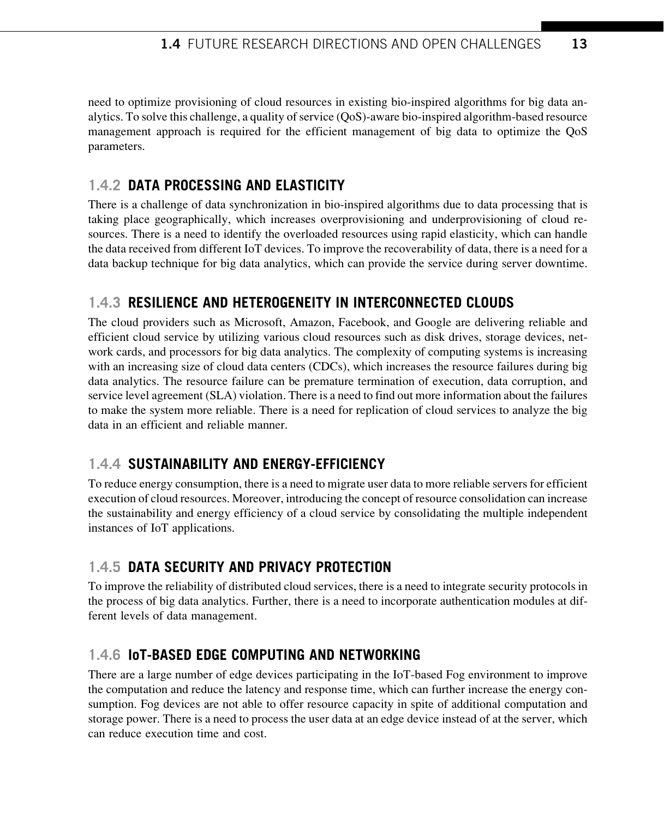need to optimize provisioning of cloud resources in existing bio-inspired algorithms for big data analytics. To solve this challenge, a quality of service (QoS)-aware bio-inspired algorithm-based resource management approach is required for the efficient management of big data to optimize the QoS parameters.

### 1.4.2 DATA PROCESSING AND ELASTICITY

There is a challenge of data synchronization in bio-inspired algorithms due to data processing that is taking place geographically, which increases overprovisioning and underprovisioning of cloud resources. There is a need to identify the overloaded resources using rapid elasticity, which can handle the data received from different IoT devices. To improve the recoverability of data, there is a need for a data backup technique for big data analytics, which can provide the service during server downtime.

## 1.4.3 RESILIENCE AND HETEROGENEITY IN INTERCONNECTED CLOUDS

The cloud providers such as Microsoft, Amazon, Facebook, and Google are delivering reliable and efficient cloud service by utilizing various cloud resources such as disk drives, storage devices, network cards, and processors for big data analytics. The complexity of computing systems is increasing with an increasing size of cloud data centers (CDCs), which increases the resource failures during big data analytics. The resource failure can be premature termination of execution, data corruption, and service level agreement (SLA) violation. There is a need to find out more information about the failures to make the system more reliable. There is a need for replication of cloud services to analyze the big data in an efficient and reliable manner.

To reduce energy consumption, there is a need to migrate user data to more reliable servers for efficient execution of cloud resources. Moreover, introducing the concept of resource consolidation can increase the sustainability and energy efficiency of a cloud service by consolidating the multiple independent instances of IoT applications.

## 1.4.5 DATA SECURITY AND PRIVACY PROTECTION

To improve the reliability of distributed cloud services, there is a need to integrate security protocols in the process of big data analytics. Further, there is a need to incorporate authentication modules at different levels of data management.

There are a large number of edge devices participating in the IoT-based Fog environment to improve the computation and reduce the latency and response time, which can further increase the energy consumption. Fog devices are not able to offer resource capacity in spite of additional computation and storage power. There is a need to process the user data at an edge device instead of at the server, which can reduce execution time and cost.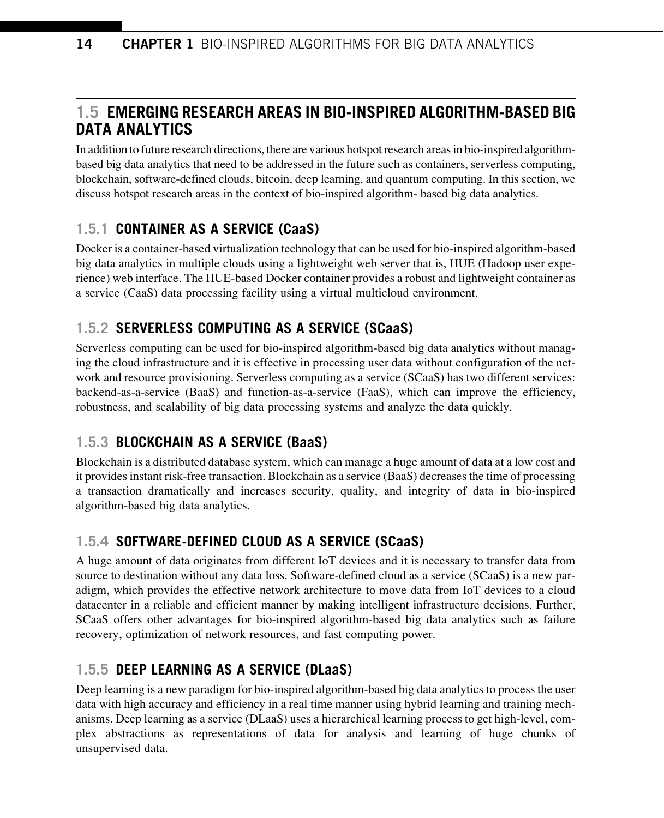## <span id="page-13-0"></span>1.5 EMERGING RESEARCH AREAS IN BIO-INSPIRED ALGORITHM-BASED BIG **DATA ANALYTICS**

In addition to future research directions, there are various hotspot research areas in bio-inspired algorithmbased big data analytics that need to be addressed in the future such as containers, serverless computing, blockchain, software-defined clouds, bitcoin, deep learning, and quantum computing. In this section, we discuss hotspot research areas in the context of bio-inspired algorithm- based big data analytics.

1.5.1 CONTAINER AS A SERVICE (CaaS) Docker is a container-based virtualization technology that can be used for bio-inspired algorithm-based big data analytics in multiple clouds using a lightweight web server that is, HUE (Hadoop user experience) web interface. The HUE-based Docker container provides a robust and lightweight container as a service (CaaS) data processing facility using a virtual multicloud environment.

Serverless computing can be used for bio-inspired algorithm-based big data analytics without managing the cloud infrastructure and it is effective in processing user data without configuration of the network and resource provisioning. Serverless computing as a service (SCaaS) has two different services: backend-as-a-service (BaaS) and function-as-a-service (FaaS), which can improve the efficiency, robustness, and scalability of big data processing systems and analyze the data quickly.

Blockchain is a distributed database system, which can manage a huge amount of data at a low cost and it provides instant risk-free transaction. Blockchain as a service (BaaS) decreases the time of processing a transaction dramatically and increases security, quality, and integrity of data in bio-inspired algorithm-based big data analytics.

A huge amount of data originates from different IoT devices and it is necessary to transfer data from source to destination without any data loss. Software-defined cloud as a service (SCaaS) is a new paradigm, which provides the effective network architecture to move data from IoT devices to a cloud datacenter in a reliable and efficient manner by making intelligent infrastructure decisions. Further, SCaaS offers other advantages for bio-inspired algorithm-based big data analytics such as failure recovery, optimization of network resources, and fast computing power.

need the service of the control of the control of the control of the control of the control of the control of the user Deep learning is a new paradigm for bio-inspired algorithm-based big data analytics to process the user data with high accuracy and efficiency in a real time manner using hybrid learning and training mechanisms. Deep learning as a service (DLaaS) uses a hierarchical learning process to get high-level, complex abstractions as representations of data for analysis and learning of huge chunks of unsupervised data.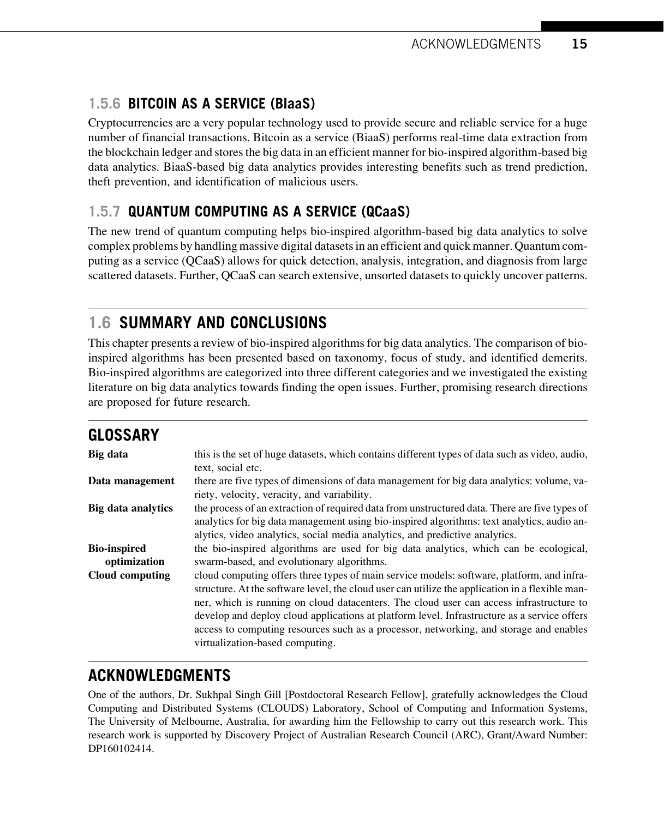Cryptocurrencies are a very popular technology used to provide secure and reliable service for a huge number of financial transactions. Bitcoin as a service (BiaaS) performs real-time data extraction from the blockchain ledger and stores the big data in an efficient manner for bio-inspired algorithm-based big data analytics. BiaaS-based big data analytics provides interesting benefits such as trend prediction, theft prevention, and identification of malicious users.

The new trend of quantum computing helps bio-inspired algorithm-based big data analytics to solve complex problems by handling massive digital datasets in an efficient and quick manner. Quantum computing as a service (QCaaS) allows for quick detection, analysis, integration, and diagnosis from large scattered datasets. Further, QCaaS can search extensive, unsorted datasets to quickly uncover patterns.

## **1.6 SUMMARY AND CONCLUSIONS**

This chapter presents a review of bio-inspired algorithms for big data analytics. The comparison of bioinspired algorithms has been presented based on taxonomy, focus of study, and identified demerits. Bio-inspired algorithms are categorized into three different categories and we investigated the existing literature on big data analytics towards finding the open issues. Further, promising research directions are proposed for future research.

## **GLOSSARY**

| Big data                            | this is the set of huge datasets, which contains different types of data such as video, audio,<br>text, social etc.                                                                                                                                                                                                                                                                                                                                                                                                 |
|-------------------------------------|---------------------------------------------------------------------------------------------------------------------------------------------------------------------------------------------------------------------------------------------------------------------------------------------------------------------------------------------------------------------------------------------------------------------------------------------------------------------------------------------------------------------|
| Data management                     | there are five types of dimensions of data management for big data analytics: volume, va-<br>riety, velocity, veracity, and variability.                                                                                                                                                                                                                                                                                                                                                                            |
| Big data analytics                  | the process of an extraction of required data from unstructured data. There are five types of<br>analytics for big data management using bio-inspired algorithms: text analytics, audio an-<br>alytics, video analytics, social media analytics, and predictive analytics.                                                                                                                                                                                                                                          |
| <b>Bio-inspired</b><br>optimization | the bio-inspired algorithms are used for big data analytics, which can be ecological,<br>swarm-based, and evolutionary algorithms.                                                                                                                                                                                                                                                                                                                                                                                  |
| Cloud computing                     | cloud computing offers three types of main service models: software, platform, and infra-<br>structure. At the software level, the cloud user can utilize the application in a flexible man-<br>ner, which is running on cloud datacenters. The cloud user can access infrastructure to<br>develop and deploy cloud applications at platform level. Infrastructure as a service offers<br>access to computing resources such as a processor, networking, and storage and enables<br>virtualization-based computing. |

## **ACKNOWLEDGMENTS**

one of the authors, Dr. Sukhpal Singh Gill [Postdoctoral Research Fellow], gratefully acknowledges the Cloud Computing and Distributed Systems (CLOUDS) Laboratory, School of Computing and Information Systems, The University of Melbourne, Australia, for awarding him the Fellowship to carry out this research work. This research work is supported by Discovery Project of Australian Research Council (ARC), Grant/Award Number: DP160102414.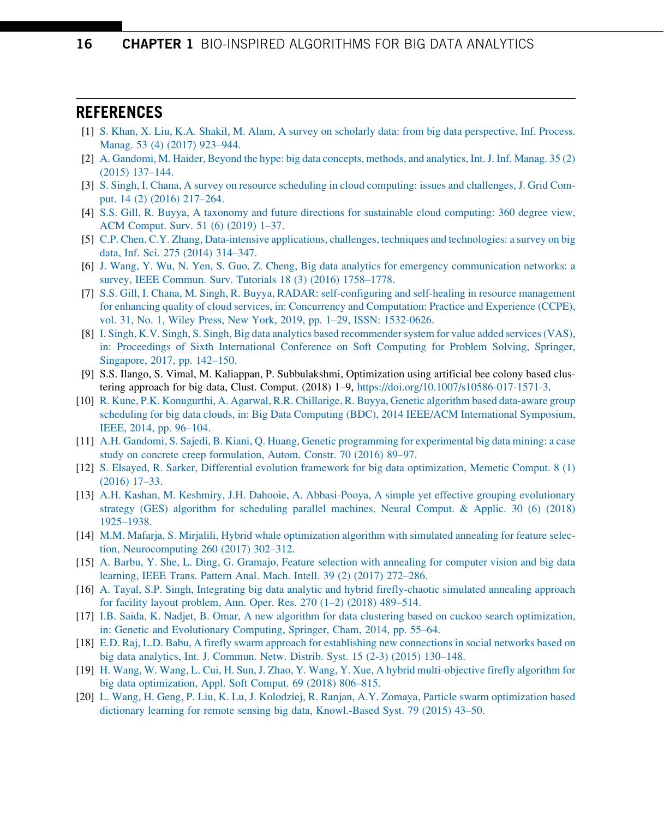- <span id="page-15-0"></span>[1] [S. Khan, X. Liu, K.A. Shakil, M. Alam, A survey on scholarly data: from big data perspective, Inf. Process.](http://refhub.elsevier.com/B978-0-12-818146-1.00001-5/rf0010) [Manag. 53 \(4\) \(2017\) 923](http://refhub.elsevier.com/B978-0-12-818146-1.00001-5/rf0010)–944.
- [2] [A. Gandomi, M. Haider, Beyond the hype: big data concepts, methods, and analytics, Int. J. Inf. Manag. 35 \(2\)](http://refhub.elsevier.com/B978-0-12-818146-1.00001-5/rf0015) [\(2015\) 137](http://refhub.elsevier.com/B978-0-12-818146-1.00001-5/rf0015)–144.
- [3] [S. Singh, I. Chana, A survey on resource scheduling in cloud computing: issues and challenges, J. Grid Com](http://refhub.elsevier.com/B978-0-12-818146-1.00001-5/rf0020)[put. 14 \(2\) \(2016\) 217](http://refhub.elsevier.com/B978-0-12-818146-1.00001-5/rf0020)–264.
- [4] [S.S. Gill, R. Buyya, A taxonomy and future directions for sustainable cloud computing: 360 degree view,](http://refhub.elsevier.com/B978-0-12-818146-1.00001-5/rf0025) [ACM Comput. Surv. 51 \(6\) \(2019\) 1](http://refhub.elsevier.com/B978-0-12-818146-1.00001-5/rf0025)–37.
- [5] [C.P. Chen, C.Y. Zhang, Data-intensive applications, challenges, techniques and technologies: a survey on big](http://refhub.elsevier.com/B978-0-12-818146-1.00001-5/rf0030) [data, Inf. Sci. 275 \(2014\) 314](http://refhub.elsevier.com/B978-0-12-818146-1.00001-5/rf0030)–347.
- [6] [J. Wang, Y. Wu, N. Yen, S. Guo, Z. Cheng, Big data analytics for emergency communication networks: a](http://refhub.elsevier.com/B978-0-12-818146-1.00001-5/rf0035) [survey, IEEE Commun. Surv. Tutorials 18 \(3\) \(2016\) 1758](http://refhub.elsevier.com/B978-0-12-818146-1.00001-5/rf0035)–1778.
- [7] [S.S. Gill, I. Chana, M. Singh, R. Buyya, RADAR: self-configuring and self-healing in resource management](http://refhub.elsevier.com/B978-0-12-818146-1.00001-5/rf0040) [for enhancing quality of cloud services, in: Concurrency and Computation: Practice and Experience \(CCPE\),](http://refhub.elsevier.com/B978-0-12-818146-1.00001-5/rf0040) [vol. 31, No. 1, Wiley Press, New York, 2019, pp. 1](http://refhub.elsevier.com/B978-0-12-818146-1.00001-5/rf0040)–29, ISSN: 1532-0626.
- [8] [I. Singh, K.V. Singh, S. Singh, Big data analytics based recommender system for value added services \(VAS\),](http://refhub.elsevier.com/B978-0-12-818146-1.00001-5/rf0045) [in: Proceedings of Sixth International Conference on Soft Computing for Problem Solving, Springer,](http://refhub.elsevier.com/B978-0-12-818146-1.00001-5/rf0045) [Singapore, 2017, pp. 142](http://refhub.elsevier.com/B978-0-12-818146-1.00001-5/rf0045)–150.
- [9] S.S. Ilango, S. Vimal, M. Kaliappan, P. Subbulakshmi, Optimization using artificial bee colony based clustering approach for big data, Clust. Comput. (2018) 1–9, <https://doi.org/10.1007/s10586-017-1571-3>.
- [10] [R. Kune, P.K. Konugurthi, A. Agarwal, R.R. Chillarige, R. Buyya, Genetic algorithm based data-aware group](http://refhub.elsevier.com/B978-0-12-818146-1.00001-5/rf0055) [scheduling for big data clouds, in: Big Data Computing \(BDC\), 2014 IEEE/ACM International Symposium,](http://refhub.elsevier.com/B978-0-12-818146-1.00001-5/rf0055) [IEEE, 2014, pp. 96](http://refhub.elsevier.com/B978-0-12-818146-1.00001-5/rf0055)–104.
- [11] [A.H. Gandomi, S. Sajedi, B. Kiani, Q. Huang, Genetic programming for experimental big data mining: a case](http://refhub.elsevier.com/B978-0-12-818146-1.00001-5/rf0060) [study on concrete creep formulation, Autom. Constr. 70 \(2016\) 89](http://refhub.elsevier.com/B978-0-12-818146-1.00001-5/rf0060)–97.
- [12] [S. Elsayed, R. Sarker, Differential evolution framework for big data optimization, Memetic Comput. 8 \(1\)](http://refhub.elsevier.com/B978-0-12-818146-1.00001-5/rf0065) [\(2016\) 17](http://refhub.elsevier.com/B978-0-12-818146-1.00001-5/rf0065)–33.
- [13] [A.H. Kashan, M. Keshmiry, J.H. Dahooie, A. Abbasi-Pooya, A simple yet effective grouping evolutionary](http://refhub.elsevier.com/B978-0-12-818146-1.00001-5/rf0070) [strategy \(GES\) algorithm for scheduling parallel machines, Neural Comput. & Applic. 30 \(6\) \(2018\)](http://refhub.elsevier.com/B978-0-12-818146-1.00001-5/rf0070) 1925–[1938.](http://refhub.elsevier.com/B978-0-12-818146-1.00001-5/rf0070)
- [14] [M.M. Mafarja, S. Mirjalili, Hybrid whale optimization algorithm with simulated annealing for feature selec](http://refhub.elsevier.com/B978-0-12-818146-1.00001-5/rf0075)[tion, Neurocomputing 260 \(2017\) 302](http://refhub.elsevier.com/B978-0-12-818146-1.00001-5/rf0075)–312.
- [15] [A. Barbu, Y. She, L. Ding, G. Gramajo, Feature selection with annealing for computer vision and big data](http://refhub.elsevier.com/B978-0-12-818146-1.00001-5/rf0080) [learning, IEEE Trans. Pattern Anal. Mach. Intell. 39 \(2\) \(2017\) 272](http://refhub.elsevier.com/B978-0-12-818146-1.00001-5/rf0080)–286.
- [16] [A. Tayal, S.P. Singh, Integrating big data analytic and hybrid firefly-chaotic simulated annealing approach](http://refhub.elsevier.com/B978-0-12-818146-1.00001-5/rf0085) [for facility layout problem, Ann. Oper. Res. 270 \(1](http://refhub.elsevier.com/B978-0-12-818146-1.00001-5/rf0085)–2) (2018) 489–514.
- [17] [I.B. Saida, K. Nadjet, B. Omar, A new algorithm for data clustering based on cuckoo search optimization,](http://refhub.elsevier.com/B978-0-12-818146-1.00001-5/rf0090) [in: Genetic and Evolutionary Computing, Springer, Cham, 2014, pp. 55](http://refhub.elsevier.com/B978-0-12-818146-1.00001-5/rf0090)–64.
- [18] [E.D. Raj, L.D. Babu, A firefly swarm approach for establishing new connections in social networks based on](http://refhub.elsevier.com/B978-0-12-818146-1.00001-5/rf0095) [big data analytics, Int. J. Commun. Netw. Distrib. Syst. 15 \(2-3\) \(2015\) 130](http://refhub.elsevier.com/B978-0-12-818146-1.00001-5/rf0095)–148.
- [19] [H. Wang, W. Wang, L. Cui, H. Sun, J. Zhao, Y. Wang, Y. Xue, A hybrid multi-objective firefly algorithm for](http://refhub.elsevier.com/B978-0-12-818146-1.00001-5/rf0100) [big data optimization, Appl. Soft Comput. 69 \(2018\) 806](http://refhub.elsevier.com/B978-0-12-818146-1.00001-5/rf0100)–815.
- [20] [L. Wang, H. Geng, P. Liu, K. Lu, J. Kolodziej, R. Ranjan, A.Y. Zomaya, Particle swarm optimization based](http://refhub.elsevier.com/B978-0-12-818146-1.00001-5/rf0105) [dictionary learning for remote sensing big data, Knowl.-Based Syst. 79 \(2015\) 43](http://refhub.elsevier.com/B978-0-12-818146-1.00001-5/rf0105)–50.